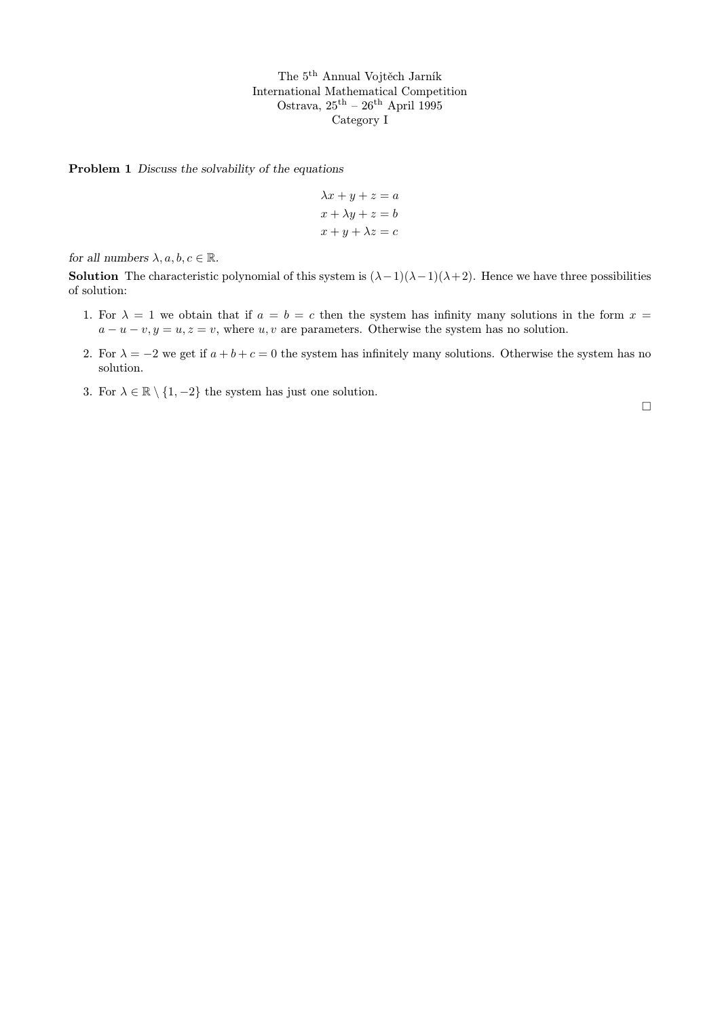Problem 1 Discuss the solvability of the equations

$$
\lambda x + y + z = a
$$

$$
x + \lambda y + z = b
$$

$$
x + y + \lambda z = c
$$

for all numbers  $\lambda, a, b, c \in \mathbb{R}$ .

**Solution** The characteristic polynomial of this system is  $(\lambda - 1)(\lambda - 1)(\lambda + 2)$ . Hence we have three possibilities of solution:

- 1. For  $\lambda = 1$  we obtain that if  $a = b = c$  then the system has infinity many solutions in the form  $x =$  $a - u - v, y = u, z = v$ , where u, v are parameters. Otherwise the system has no solution.
- 2. For  $\lambda = -2$  we get if  $a + b + c = 0$  the system has infinitely many solutions. Otherwise the system has no solution.
- 3. For  $\lambda \in \mathbb{R} \setminus \{1, -2\}$  the system has just one solution.

 $\Box$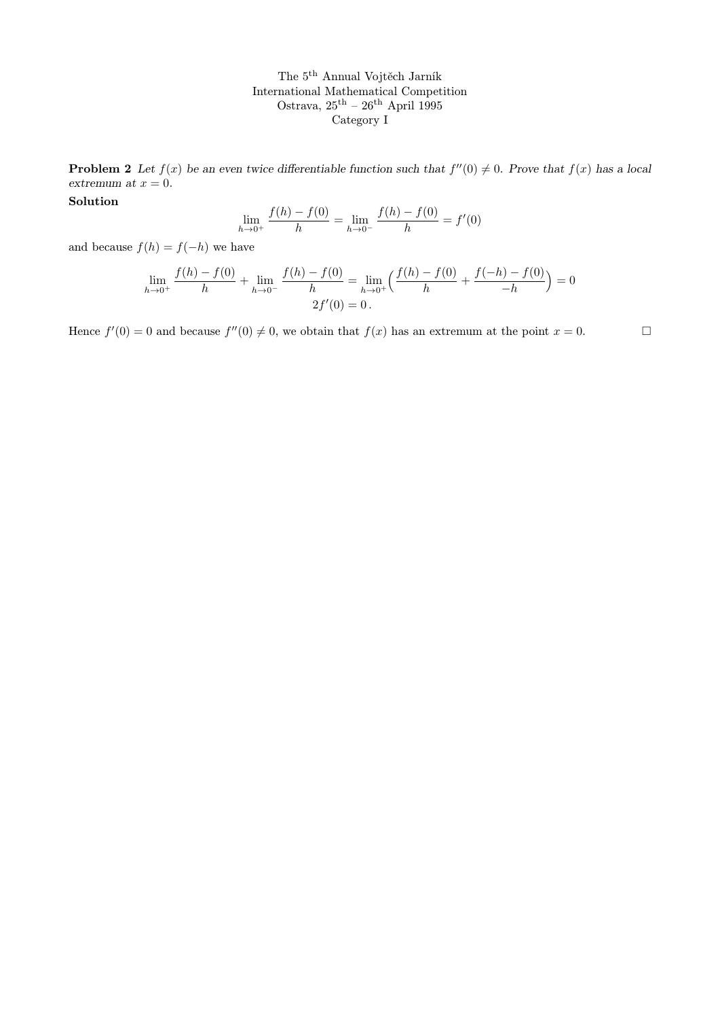**Problem 2** Let  $f(x)$  be an even twice differentiable function such that  $f''(0) \neq 0$ . Prove that  $f(x)$  has a local extremum at  $x = 0$ .

Solution

$$
\lim_{h \to 0^+} \frac{f(h) - f(0)}{h} = \lim_{h \to 0^-} \frac{f(h) - f(0)}{h} = f'(0)
$$

and because  $f(h) = f(-h)$  we have

$$
\lim_{h \to 0^+} \frac{f(h) - f(0)}{h} + \lim_{h \to 0^-} \frac{f(h) - f(0)}{h} = \lim_{h \to 0^+} \left( \frac{f(h) - f(0)}{h} + \frac{f(-h) - f(0)}{-h} \right) = 0
$$
  
2f'(0) = 0.

Hence  $f'(0) = 0$  and because  $f''(0) \neq 0$ , we obtain that  $f(x)$  has an extremum at the point  $x = 0$ .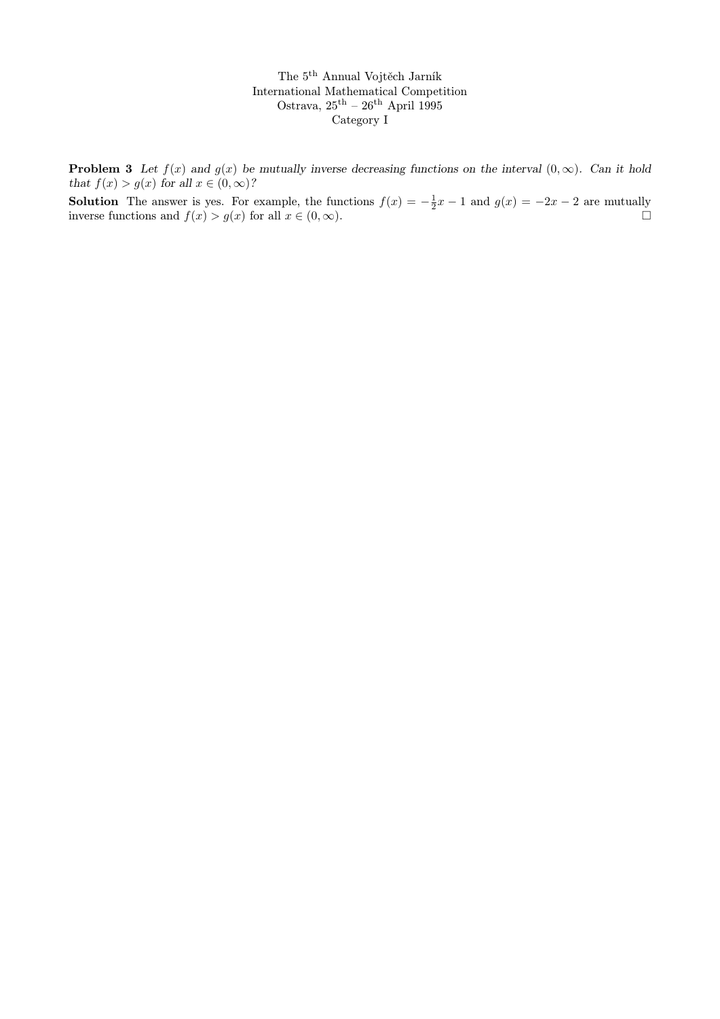**Problem 3** Let  $f(x)$  and  $g(x)$  be mutually inverse decreasing functions on the interval  $(0, \infty)$ . Can it hold that  $f(x) > g(x)$  for all  $x \in (0, \infty)$ ?

**Solution** The answer is yes. For example, the functions  $f(x) = -\frac{1}{2}x - 1$  and  $g(x) = -2x - 2$  are mutually inverse functions and  $f(x) > g(x)$  for all  $x \in (0, \infty)$ .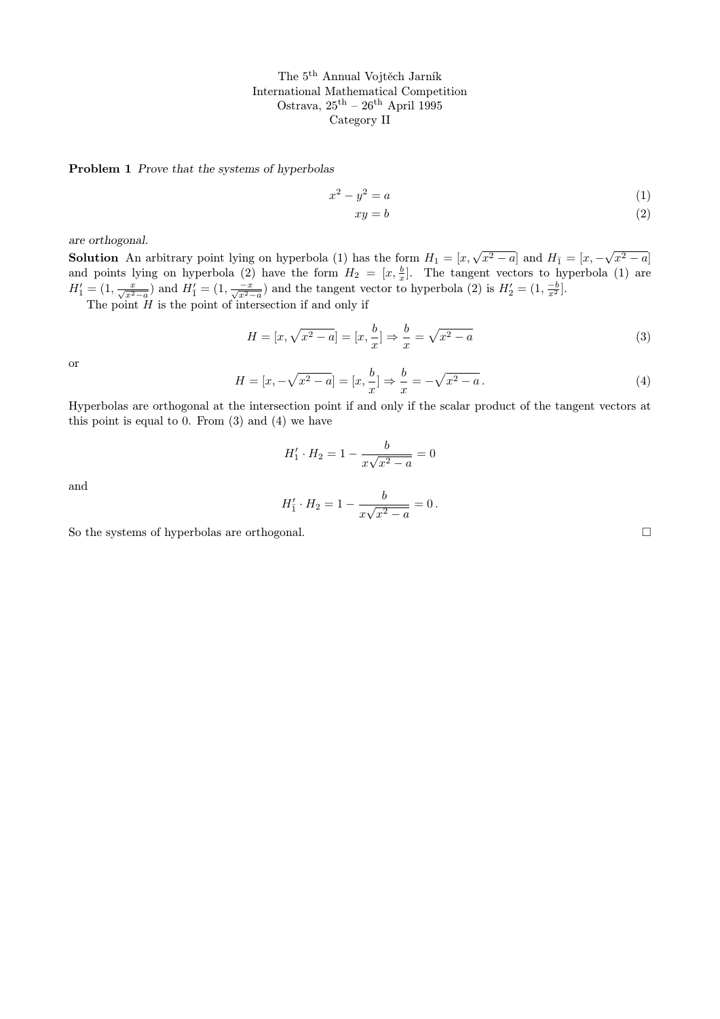Problem 1 Prove that the systems of hyperbolas

$$
x^2 - y^2 = a \tag{1}
$$

$$
xy = b \tag{2}
$$

are orthogonal.

**Solution** An arbitrary point lying on hyperbola (1) has the form  $H_1 = [x, \sqrt{x^2 - a}]$  and  $H_{\bar{1}} = [x, -\sqrt{a^2 - a}]$  $\boxed{x^2 - a}$ and points lying on hyperbola (2) have the form  $H_2 = [x, \frac{b}{x}]$ . The tangent vectors to hyperbola (1) are  $H_1' = (1, \frac{x}{\sqrt{x^2-a}})$  and  $H_1' = (1, \frac{-x}{\sqrt{x^2-a}})$  and the tangent vector to hyperbola (2) is  $H_2' = (1, \frac{-b}{x^2})$ .

The point  $H$  is the point of intersection if and only if

$$
H = [x, \sqrt{x^2 - a}] = [x, \frac{b}{x}] \Rightarrow \frac{b}{x} = \sqrt{x^2 - a}
$$
 (3)

or

$$
H = [x, -\sqrt{x^2 - a}] = [x, \frac{b}{x}] \Rightarrow \frac{b}{x} = -\sqrt{x^2 - a}.
$$
 (4)

Hyperbolas are orthogonal at the intersection point if and only if the scalar product of the tangent vectors at this point is equal to 0. From  $(3)$  and  $(4)$  we have

$$
H'_1 \cdot H_2 = 1 - \frac{b}{x\sqrt{x^2 - a}} = 0
$$

and

$$
H'_1 \cdot H_2 = 1 - \frac{b}{x\sqrt{x^2 - a}} = 0.
$$

So the systems of hyperbolas are orthogonal.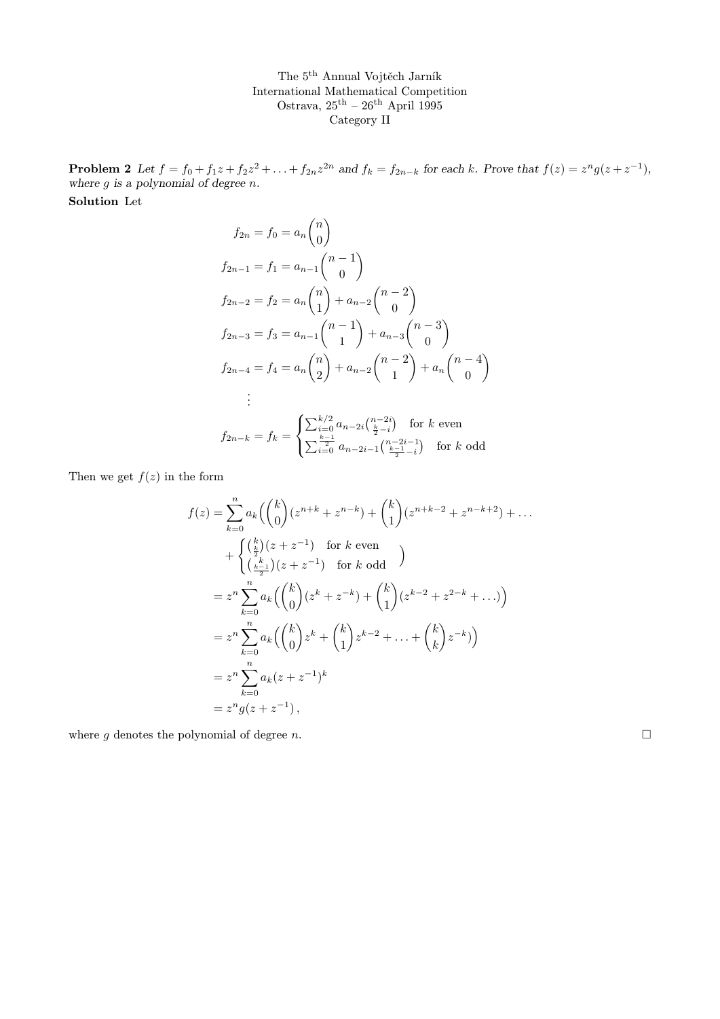**Problem 2** Let  $f = f_0 + f_1 z + f_2 z^2 + ... + f_{2n} z^{2n}$  and  $f_k = f_{2n-k}$  for each k. Prove that  $f(z) = z^n g(z + z^{-1})$ , where  $g$  is a polynomial of degree  $n$ .

Solution Let

$$
f_{2n} = f_0 = a_n \binom{n}{0}
$$
  
\n
$$
f_{2n-1} = f_1 = a_{n-1} \binom{n-1}{0}
$$
  
\n
$$
f_{2n-2} = f_2 = a_n \binom{n}{1} + a_{n-2} \binom{n-2}{0}
$$
  
\n
$$
f_{2n-3} = f_3 = a_{n-1} \binom{n-1}{1} + a_{n-3} \binom{n-3}{0}
$$
  
\n
$$
f_{2n-4} = f_4 = a_n \binom{n}{2} + a_{n-2} \binom{n-2}{1} + a_n \binom{n-4}{0}
$$
  
\n
$$
\vdots
$$
  
\n
$$
f_{2n-k} = f_k = \begin{cases} \sum_{i=0}^{k/2} a_{n-2i} \binom{n-2i}{\frac{k}{2}-i} & \text{for } k \text{ even} \\ \sum_{i=0}^{\frac{k-1}{2}} a_{n-2i-1} \binom{n-2i-1}{\frac{k-1}{2}-i} & \text{for } k \text{ odd} \end{cases}
$$

Then we get  $f(z)$  in the form

$$
f(z) = \sum_{k=0}^{n} a_k \left( \binom{k}{0} (z^{n+k} + z^{n-k}) + \binom{k}{1} (z^{n+k-2} + z^{n-k+2}) + \dots \right)
$$
  
+ 
$$
\begin{cases} \left( \frac{k}{2} \right) (z + z^{-1}) & \text{for } k \text{ even} \\ \left( \frac{k}{2} \right) (z + z^{-1}) & \text{for } k \text{ odd} \end{cases}
$$
  
=  $z^n \sum_{k=0}^{n} a_k \left( \binom{k}{0} (z^k + z^{-k}) + \binom{k}{1} (z^{k-2} + z^{2-k} + \dots) \right)$   
=  $z^n \sum_{k=0}^{n} a_k \left( \binom{k}{0} z^k + \binom{k}{1} z^{k-2} + \dots + \binom{k}{k} z^{-k} \right)$   
=  $z^n \sum_{k=0}^{n} a_k (z + z^{-1})^k$   
=  $z^n g(z + z^{-1}),$ 

where g denotes the polynomial of degree n.  $\Box$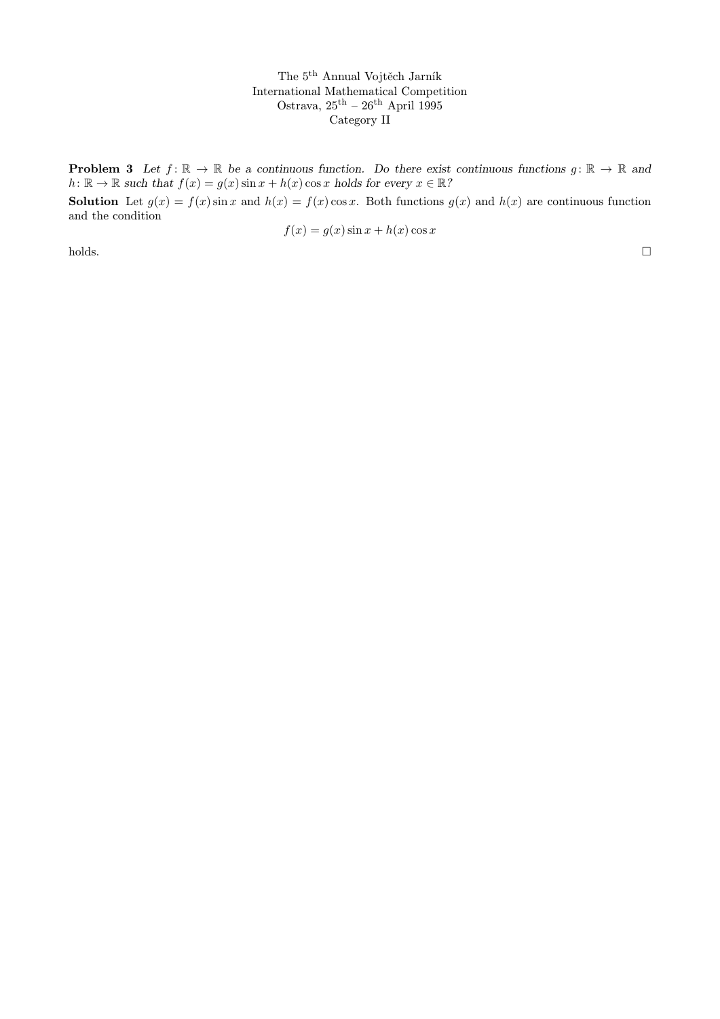**Problem 3** Let  $f: \mathbb{R} \to \mathbb{R}$  be a continuous function. Do there exist continuous functions  $g: \mathbb{R} \to \mathbb{R}$  and  $h: \mathbb{R} \to \mathbb{R}$  such that  $f(x) = g(x) \sin x + h(x) \cos x$  holds for every  $x \in \mathbb{R}$ ?

**Solution** Let  $g(x) = f(x) \sin x$  and  $h(x) = f(x) \cos x$ . Both functions  $g(x)$  and  $h(x)$  are continuous function and the condition

$$
f(x) = g(x)\sin x + h(x)\cos x
$$

holds.